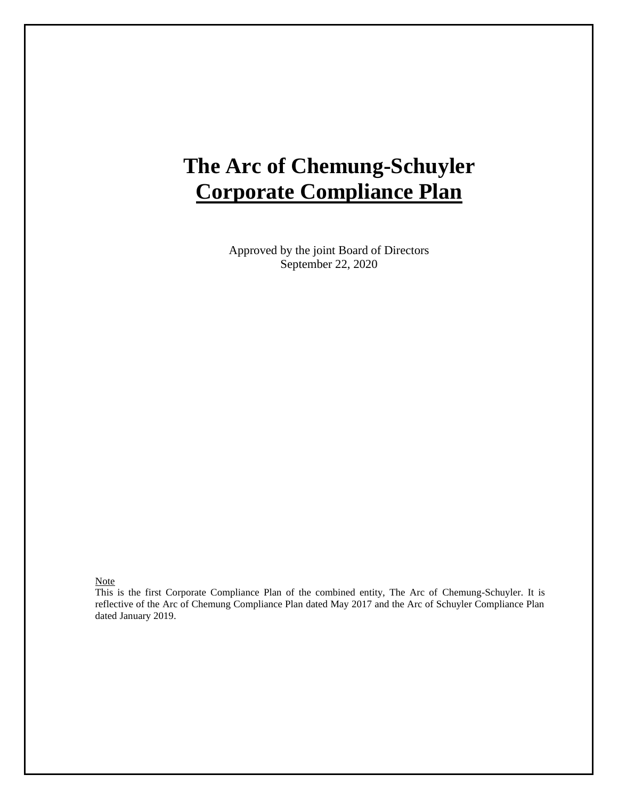# **The Arc of Chemung-Schuyler Corporate Compliance Plan**

Approved by the joint Board of Directors September 22, 2020

Note

This is the first Corporate Compliance Plan of the combined entity, The Arc of Chemung-Schuyler. It is reflective of the Arc of Chemung Compliance Plan dated May 2017 and the Arc of Schuyler Compliance Plan dated January 2019.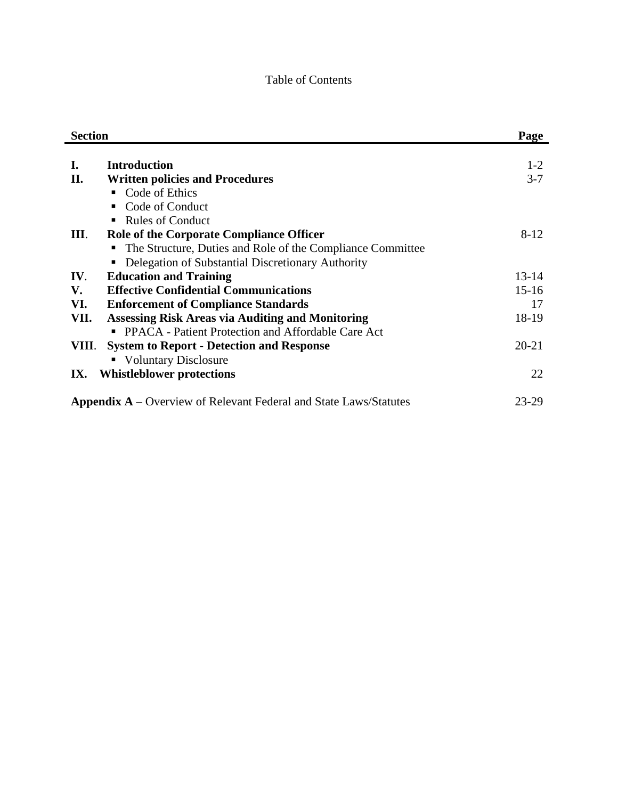## Table of Contents

| <b>Section</b>                                                           |                                                              | Page      |
|--------------------------------------------------------------------------|--------------------------------------------------------------|-----------|
|                                                                          |                                                              |           |
| I.                                                                       | <b>Introduction</b>                                          | $1-2$     |
| II.                                                                      | <b>Written policies and Procedures</b>                       | $3 - 7$   |
|                                                                          | Code of Ethics<br>. .                                        |           |
|                                                                          | • Code of Conduct                                            |           |
|                                                                          | <b>Rules of Conduct</b>                                      |           |
| Ш.                                                                       | <b>Role of the Corporate Compliance Officer</b>              | $8 - 12$  |
|                                                                          | • The Structure, Duties and Role of the Compliance Committee |           |
|                                                                          | Delegation of Substantial Discretionary Authority            |           |
| IV.                                                                      | <b>Education and Training</b>                                | $13 - 14$ |
| V.                                                                       | <b>Effective Confidential Communications</b>                 | $15-16$   |
| VI.                                                                      | <b>Enforcement of Compliance Standards</b>                   | 17        |
| VII.                                                                     | <b>Assessing Risk Areas via Auditing and Monitoring</b>      | 18-19     |
|                                                                          | • PPACA - Patient Protection and Affordable Care Act         |           |
| VIII.                                                                    | <b>System to Report - Detection and Response</b>             | $20 - 21$ |
|                                                                          | • Voluntary Disclosure                                       |           |
| IX.                                                                      | <b>Whistleblower protections</b>                             | 22        |
|                                                                          |                                                              |           |
| <b>Appendix A</b> – Overview of Relevant Federal and State Laws/Statutes |                                                              | 23-29     |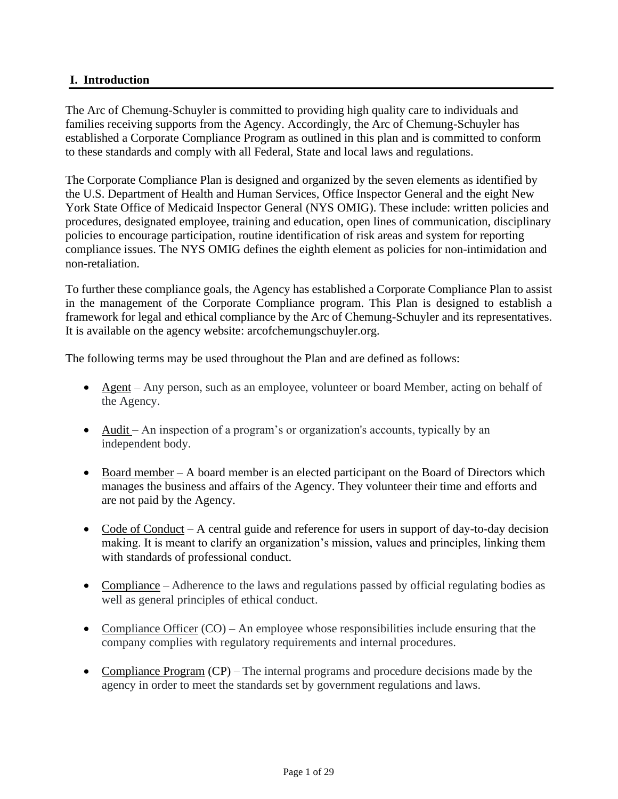## **I. Introduction**

The Arc of Chemung-Schuyler is committed to providing high quality care to individuals and families receiving supports from the Agency. Accordingly, the Arc of Chemung-Schuyler has established a Corporate Compliance Program as outlined in this plan and is committed to conform to these standards and comply with all Federal, State and local laws and regulations.

The Corporate Compliance Plan is designed and organized by the seven elements as identified by the U.S. Department of Health and Human Services, Office Inspector General and the eight New York State Office of Medicaid Inspector General (NYS OMIG). These include: written policies and procedures, designated employee, training and education, open lines of communication, disciplinary policies to encourage participation, routine identification of risk areas and system for reporting compliance issues. The NYS OMIG defines the eighth element as policies for non-intimidation and non-retaliation.

To further these compliance goals, the Agency has established a Corporate Compliance Plan to assist in the management of the Corporate Compliance program. This Plan is designed to establish a framework for legal and ethical compliance by the Arc of Chemung-Schuyler and its representatives. It is available on the agency website: arcofchemungschuyler.org.

The following terms may be used throughout the Plan and are defined as follows:

- Agent Any person, such as an employee, volunteer or board Member, acting on behalf of the Agency.
- Audit An inspection of a program's or organization's accounts, typically by an independent body.
- Board member A board member is an elected participant on the Board of Directors which manages the business and affairs of the Agency. They volunteer their time and efforts and are not paid by the Agency.
- Code of Conduct A central guide and reference for users in support of day-to-day decision making. It is meant to clarify an organization's mission, values and principles, linking them with standards of professional conduct.
- Compliance Adherence to the laws and regulations passed by official regulating bodies as well as general principles of ethical conduct.
- Compliance Officer (CO) An employee whose responsibilities include ensuring that the company complies with regulatory requirements and internal procedures.
- Compliance Program (CP) The internal programs and procedure decisions made by the agency in order to meet the standards set by government regulations and laws.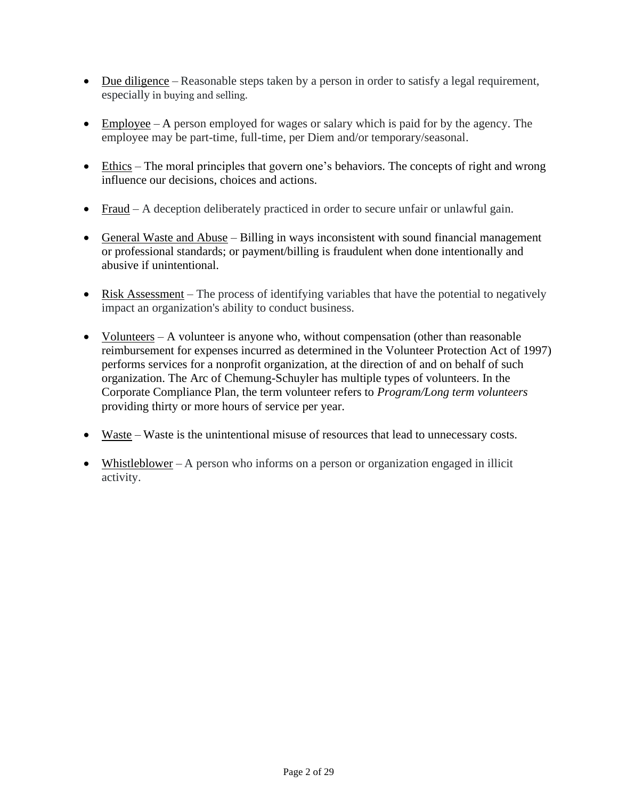- Due diligence Reasonable steps taken by a person in order to satisfy a legal requirement, especially in buying and selling.
- Employee A person employed for wages or salary which is paid for by the agency. The employee may be part-time, full-time, per Diem and/or temporary/seasonal.
- Ethics The moral principles that govern one's behaviors. The concepts of right and wrong influence our decisions, choices and actions.
- Fraud A deception deliberately practiced in order to secure unfair or unlawful gain.
- General Waste and Abuse Billing in ways inconsistent with sound financial management or professional standards; or payment/billing is fraudulent when done intentionally and abusive if unintentional.
- Risk Assessment The process of identifying variables that have the potential to negatively impact an organization's ability to conduct business.
- Volunteers A volunteer is anyone who, without compensation (other than reasonable reimbursement for expenses incurred as determined in the Volunteer Protection Act of 1997) performs services for a nonprofit organization, at the direction of and on behalf of such organization. The Arc of Chemung-Schuyler has multiple types of volunteers. In the Corporate Compliance Plan, the term volunteer refers to *Program/Long term volunteers* providing thirty or more hours of service per year.
- Waste Waste is the unintentional misuse of resources that lead to unnecessary costs.
- Whistleblower A person who informs on a person or organization engaged in illicit activity.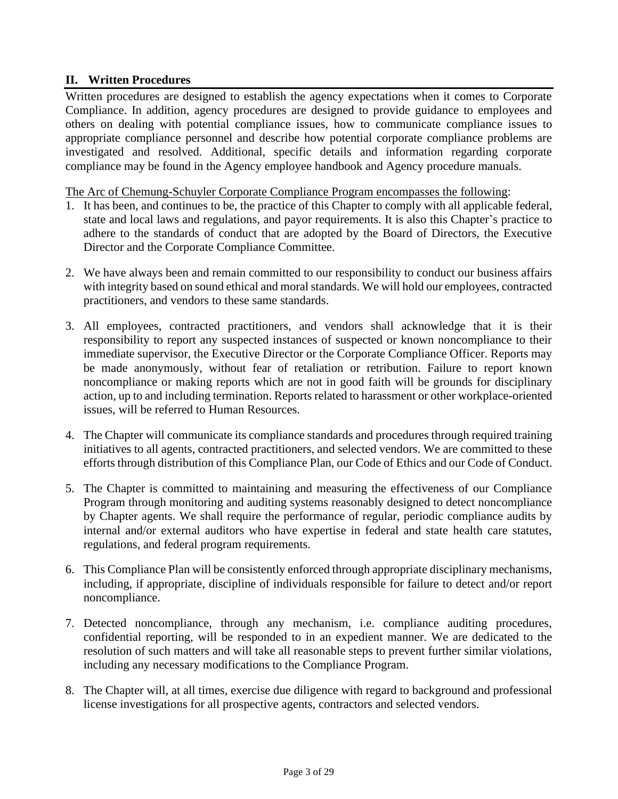## **II. Written Procedures**

Written procedures are designed to establish the agency expectations when it comes to Corporate Compliance. In addition, agency procedures are designed to provide guidance to employees and others on dealing with potential compliance issues, how to communicate compliance issues to appropriate compliance personnel and describe how potential corporate compliance problems are investigated and resolved. Additional, specific details and information regarding corporate compliance may be found in the Agency employee handbook and Agency procedure manuals.

The Arc of Chemung-Schuyler Corporate Compliance Program encompasses the following:

- 1. It has been, and continues to be, the practice of this Chapter to comply with all applicable federal, state and local laws and regulations, and payor requirements. It is also this Chapter's practice to adhere to the standards of conduct that are adopted by the Board of Directors, the Executive Director and the Corporate Compliance Committee.
- 2. We have always been and remain committed to our responsibility to conduct our business affairs with integrity based on sound ethical and moral standards. We will hold our employees, contracted practitioners, and vendors to these same standards.
- 3. All employees, contracted practitioners, and vendors shall acknowledge that it is their responsibility to report any suspected instances of suspected or known noncompliance to their immediate supervisor, the Executive Director or the Corporate Compliance Officer. Reports may be made anonymously, without fear of retaliation or retribution. Failure to report known noncompliance or making reports which are not in good faith will be grounds for disciplinary action, up to and including termination. Reports related to harassment or other workplace-oriented issues, will be referred to Human Resources.
- 4. The Chapter will communicate its compliance standards and procedures through required training initiatives to all agents, contracted practitioners, and selected vendors. We are committed to these efforts through distribution of this Compliance Plan, our Code of Ethics and our Code of Conduct.
- 5. The Chapter is committed to maintaining and measuring the effectiveness of our Compliance Program through monitoring and auditing systems reasonably designed to detect noncompliance by Chapter agents. We shall require the performance of regular, periodic compliance audits by internal and/or external auditors who have expertise in federal and state health care statutes, regulations, and federal program requirements.
- 6. This Compliance Plan will be consistently enforced through appropriate disciplinary mechanisms, including, if appropriate, discipline of individuals responsible for failure to detect and/or report noncompliance.
- 7. Detected noncompliance, through any mechanism, i.e. compliance auditing procedures, confidential reporting, will be responded to in an expedient manner. We are dedicated to the resolution of such matters and will take all reasonable steps to prevent further similar violations, including any necessary modifications to the Compliance Program.
- 8. The Chapter will, at all times, exercise due diligence with regard to background and professional license investigations for all prospective agents, contractors and selected vendors.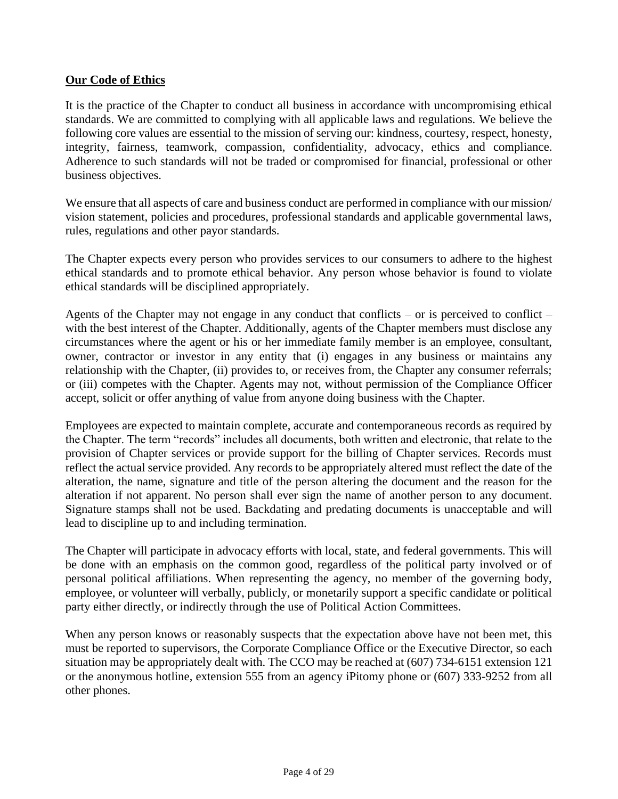## **Our Code of Ethics**

It is the practice of the Chapter to conduct all business in accordance with uncompromising ethical standards. We are committed to complying with all applicable laws and regulations. We believe the following core values are essential to the mission of serving our: kindness, courtesy, respect, honesty, integrity, fairness, teamwork, compassion, confidentiality, advocacy, ethics and compliance. Adherence to such standards will not be traded or compromised for financial, professional or other business objectives.

We ensure that all aspects of care and business conduct are performed in compliance with our mission vision statement, policies and procedures, professional standards and applicable governmental laws, rules, regulations and other payor standards.

The Chapter expects every person who provides services to our consumers to adhere to the highest ethical standards and to promote ethical behavior. Any person whose behavior is found to violate ethical standards will be disciplined appropriately.

Agents of the Chapter may not engage in any conduct that conflicts – or is perceived to conflict – with the best interest of the Chapter. Additionally, agents of the Chapter members must disclose any circumstances where the agent or his or her immediate family member is an employee, consultant, owner, contractor or investor in any entity that (i) engages in any business or maintains any relationship with the Chapter, (ii) provides to, or receives from, the Chapter any consumer referrals; or (iii) competes with the Chapter. Agents may not, without permission of the Compliance Officer accept, solicit or offer anything of value from anyone doing business with the Chapter.

Employees are expected to maintain complete, accurate and contemporaneous records as required by the Chapter. The term "records" includes all documents, both written and electronic, that relate to the provision of Chapter services or provide support for the billing of Chapter services. Records must reflect the actual service provided. Any records to be appropriately altered must reflect the date of the alteration, the name, signature and title of the person altering the document and the reason for the alteration if not apparent. No person shall ever sign the name of another person to any document. Signature stamps shall not be used. Backdating and predating documents is unacceptable and will lead to discipline up to and including termination.

The Chapter will participate in advocacy efforts with local, state, and federal governments. This will be done with an emphasis on the common good, regardless of the political party involved or of personal political affiliations. When representing the agency, no member of the governing body, employee, or volunteer will verbally, publicly, or monetarily support a specific candidate or political party either directly, or indirectly through the use of Political Action Committees.

When any person knows or reasonably suspects that the expectation above have not been met, this must be reported to supervisors, the Corporate Compliance Office or the Executive Director, so each situation may be appropriately dealt with. The CCO may be reached at (607) 734-6151 extension 121 or the anonymous hotline, extension 555 from an agency iPitomy phone or (607) 333-9252 from all other phones.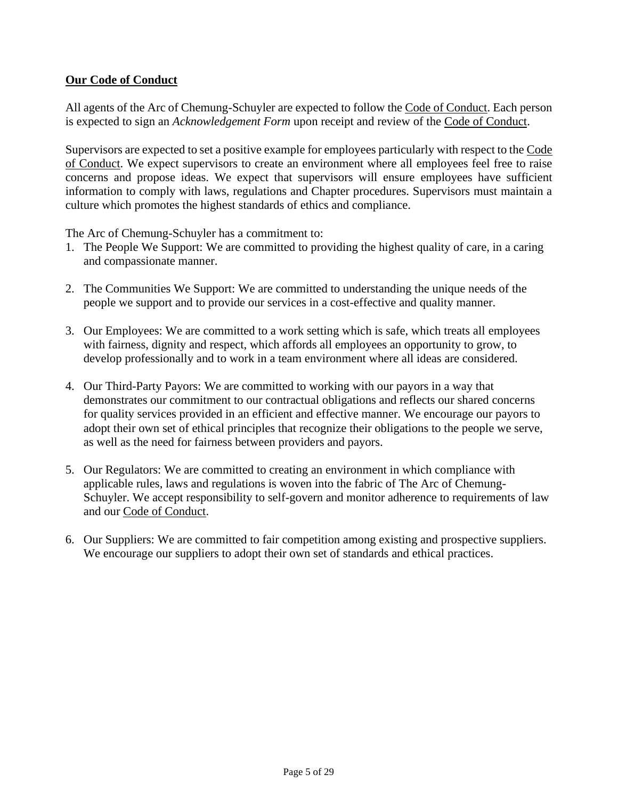## **Our Code of Conduct**

All agents of the Arc of Chemung-Schuyler are expected to follow the Code of Conduct. Each person is expected to sign an *Acknowledgement Form* upon receipt and review of the Code of Conduct.

Supervisors are expected to set a positive example for employees particularly with respect to the Code of Conduct. We expect supervisors to create an environment where all employees feel free to raise concerns and propose ideas. We expect that supervisors will ensure employees have sufficient information to comply with laws, regulations and Chapter procedures. Supervisors must maintain a culture which promotes the highest standards of ethics and compliance.

The Arc of Chemung-Schuyler has a commitment to:

- 1. The People We Support: We are committed to providing the highest quality of care, in a caring and compassionate manner.
- 2. The Communities We Support: We are committed to understanding the unique needs of the people we support and to provide our services in a cost-effective and quality manner.
- 3. Our Employees: We are committed to a work setting which is safe, which treats all employees with fairness, dignity and respect, which affords all employees an opportunity to grow, to develop professionally and to work in a team environment where all ideas are considered.
- 4. Our Third-Party Payors: We are committed to working with our payors in a way that demonstrates our commitment to our contractual obligations and reflects our shared concerns for quality services provided in an efficient and effective manner. We encourage our payors to adopt their own set of ethical principles that recognize their obligations to the people we serve, as well as the need for fairness between providers and payors.
- 5. Our Regulators: We are committed to creating an environment in which compliance with applicable rules, laws and regulations is woven into the fabric of The Arc of Chemung-Schuyler. We accept responsibility to self-govern and monitor adherence to requirements of law and our Code of Conduct.
- 6. Our Suppliers: We are committed to fair competition among existing and prospective suppliers. We encourage our suppliers to adopt their own set of standards and ethical practices.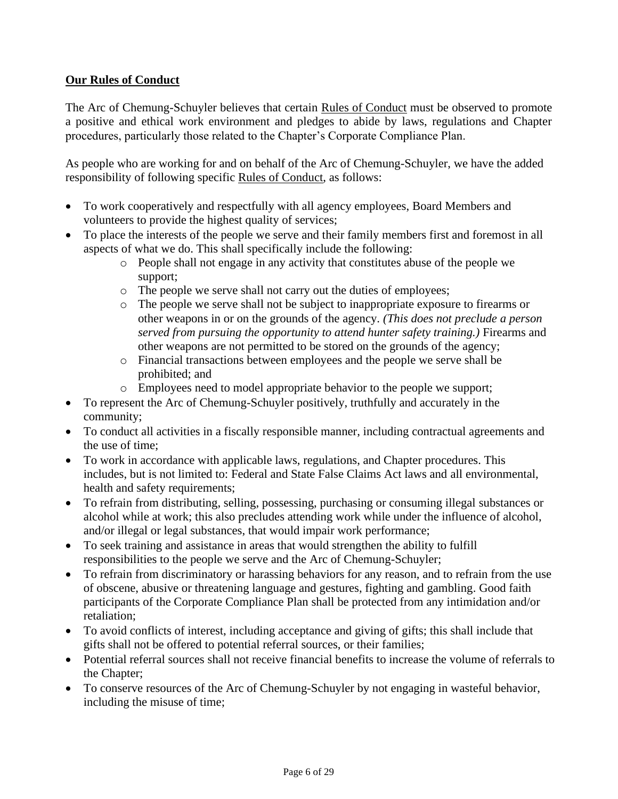## **Our Rules of Conduct**

The Arc of Chemung-Schuyler believes that certain Rules of Conduct must be observed to promote a positive and ethical work environment and pledges to abide by laws, regulations and Chapter procedures, particularly those related to the Chapter's Corporate Compliance Plan.

As people who are working for and on behalf of the Arc of Chemung-Schuyler, we have the added responsibility of following specific Rules of Conduct, as follows:

- To work cooperatively and respectfully with all agency employees, Board Members and volunteers to provide the highest quality of services;
- To place the interests of the people we serve and their family members first and foremost in all aspects of what we do. This shall specifically include the following:
	- o People shall not engage in any activity that constitutes abuse of the people we support;
	- o The people we serve shall not carry out the duties of employees;
	- o The people we serve shall not be subject to inappropriate exposure to firearms or other weapons in or on the grounds of the agency. *(This does not preclude a person served from pursuing the opportunity to attend hunter safety training.)* Firearms and other weapons are not permitted to be stored on the grounds of the agency;
	- o Financial transactions between employees and the people we serve shall be prohibited; and
	- o Employees need to model appropriate behavior to the people we support;
- To represent the Arc of Chemung-Schuyler positively, truthfully and accurately in the community;
- To conduct all activities in a fiscally responsible manner, including contractual agreements and the use of time;
- To work in accordance with applicable laws, regulations, and Chapter procedures. This includes, but is not limited to: Federal and State False Claims Act laws and all environmental, health and safety requirements;
- To refrain from distributing, selling, possessing, purchasing or consuming illegal substances or alcohol while at work; this also precludes attending work while under the influence of alcohol, and/or illegal or legal substances, that would impair work performance;
- To seek training and assistance in areas that would strengthen the ability to fulfill responsibilities to the people we serve and the Arc of Chemung-Schuyler;
- To refrain from discriminatory or harassing behaviors for any reason, and to refrain from the use of obscene, abusive or threatening language and gestures, fighting and gambling. Good faith participants of the Corporate Compliance Plan shall be protected from any intimidation and/or retaliation;
- To avoid conflicts of interest, including acceptance and giving of gifts; this shall include that gifts shall not be offered to potential referral sources, or their families;
- Potential referral sources shall not receive financial benefits to increase the volume of referrals to the Chapter;
- To conserve resources of the Arc of Chemung-Schuyler by not engaging in wasteful behavior, including the misuse of time;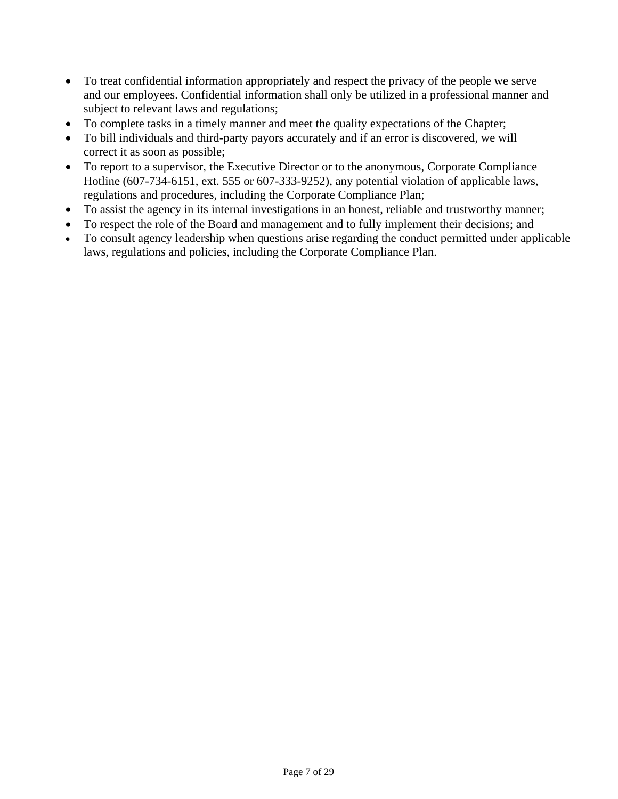- To treat confidential information appropriately and respect the privacy of the people we serve and our employees. Confidential information shall only be utilized in a professional manner and subject to relevant laws and regulations;
- To complete tasks in a timely manner and meet the quality expectations of the Chapter;
- To bill individuals and third-party payors accurately and if an error is discovered, we will correct it as soon as possible;
- To report to a supervisor, the Executive Director or to the anonymous, Corporate Compliance Hotline (607-734-6151, ext. 555 or 607-333-9252), any potential violation of applicable laws, regulations and procedures, including the Corporate Compliance Plan;
- To assist the agency in its internal investigations in an honest, reliable and trustworthy manner;
- To respect the role of the Board and management and to fully implement their decisions; and
- To consult agency leadership when questions arise regarding the conduct permitted under applicable laws, regulations and policies, including the Corporate Compliance Plan.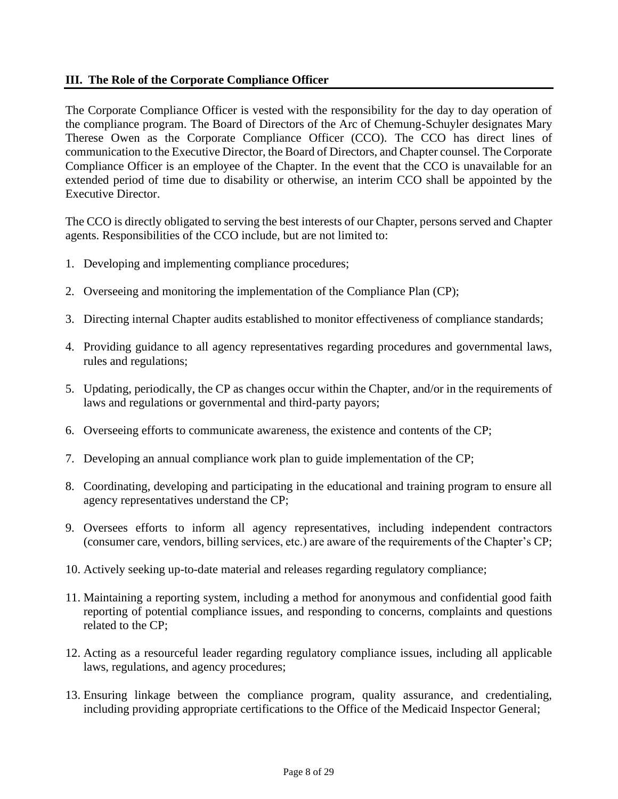## **III. The Role of the Corporate Compliance Officer**

The Corporate Compliance Officer is vested with the responsibility for the day to day operation of the compliance program. The Board of Directors of the Arc of Chemung-Schuyler designates Mary Therese Owen as the Corporate Compliance Officer (CCO). The CCO has direct lines of communication to the Executive Director, the Board of Directors, and Chapter counsel. The Corporate Compliance Officer is an employee of the Chapter. In the event that the CCO is unavailable for an extended period of time due to disability or otherwise, an interim CCO shall be appointed by the Executive Director.

The CCO is directly obligated to serving the best interests of our Chapter, persons served and Chapter agents. Responsibilities of the CCO include, but are not limited to:

- 1. Developing and implementing compliance procedures;
- 2. Overseeing and monitoring the implementation of the Compliance Plan (CP);
- 3. Directing internal Chapter audits established to monitor effectiveness of compliance standards;
- 4. Providing guidance to all agency representatives regarding procedures and governmental laws, rules and regulations;
- 5. Updating, periodically, the CP as changes occur within the Chapter, and/or in the requirements of laws and regulations or governmental and third-party payors;
- 6. Overseeing efforts to communicate awareness, the existence and contents of the CP;
- 7. Developing an annual compliance work plan to guide implementation of the CP;
- 8. Coordinating, developing and participating in the educational and training program to ensure all agency representatives understand the CP;
- 9. Oversees efforts to inform all agency representatives, including independent contractors (consumer care, vendors, billing services, etc.) are aware of the requirements of the Chapter's CP;
- 10. Actively seeking up-to-date material and releases regarding regulatory compliance;
- 11. Maintaining a reporting system, including a method for anonymous and confidential good faith reporting of potential compliance issues, and responding to concerns, complaints and questions related to the CP;
- 12. Acting as a resourceful leader regarding regulatory compliance issues, including all applicable laws, regulations, and agency procedures;
- 13. Ensuring linkage between the compliance program, quality assurance, and credentialing, including providing appropriate certifications to the Office of the Medicaid Inspector General;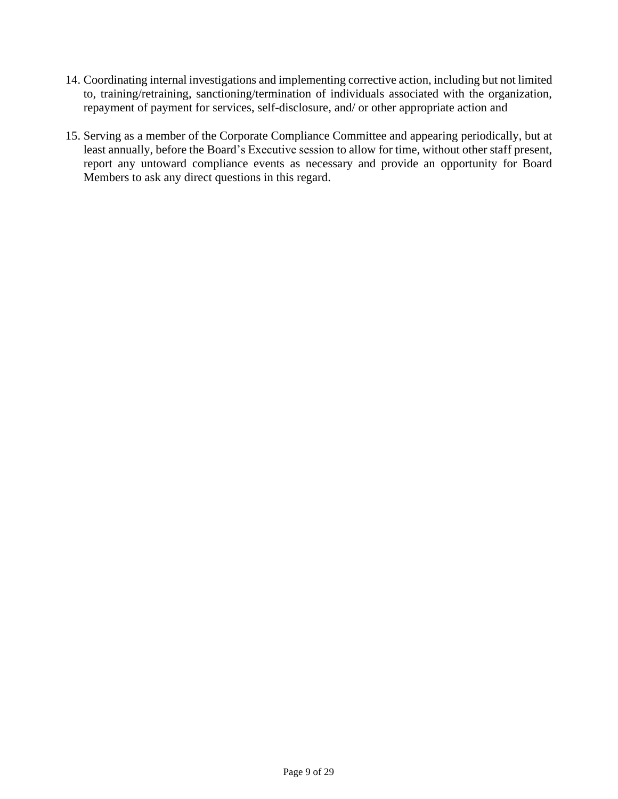- 14. Coordinating internal investigations and implementing corrective action, including but not limited to, training/retraining, sanctioning/termination of individuals associated with the organization, repayment of payment for services, self-disclosure, and/ or other appropriate action and
- 15. Serving as a member of the Corporate Compliance Committee and appearing periodically, but at least annually, before the Board's Executive session to allow for time, without other staff present, report any untoward compliance events as necessary and provide an opportunity for Board Members to ask any direct questions in this regard.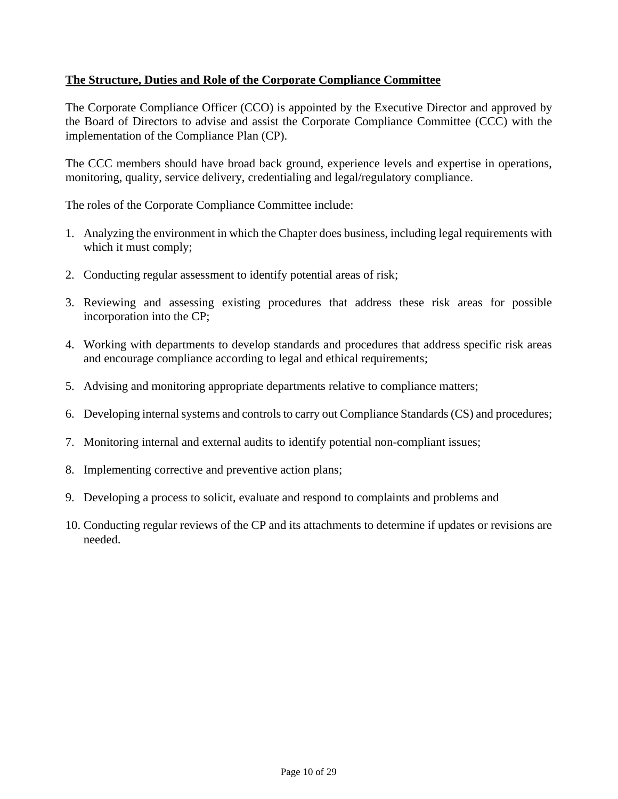## **The Structure, Duties and Role of the Corporate Compliance Committee**

The Corporate Compliance Officer (CCO) is appointed by the Executive Director and approved by the Board of Directors to advise and assist the Corporate Compliance Committee (CCC) with the implementation of the Compliance Plan (CP).

The CCC members should have broad back ground, experience levels and expertise in operations, monitoring, quality, service delivery, credentialing and legal/regulatory compliance.

The roles of the Corporate Compliance Committee include:

- 1. Analyzing the environment in which the Chapter does business, including legal requirements with which it must comply;
- 2. Conducting regular assessment to identify potential areas of risk;
- 3. Reviewing and assessing existing procedures that address these risk areas for possible incorporation into the CP;
- 4. Working with departments to develop standards and procedures that address specific risk areas and encourage compliance according to legal and ethical requirements;
- 5. Advising and monitoring appropriate departments relative to compliance matters;
- 6. Developing internal systems and controls to carry out Compliance Standards (CS) and procedures;
- 7. Monitoring internal and external audits to identify potential non-compliant issues;
- 8. Implementing corrective and preventive action plans;
- 9. Developing a process to solicit, evaluate and respond to complaints and problems and
- 10. Conducting regular reviews of the CP and its attachments to determine if updates or revisions are needed.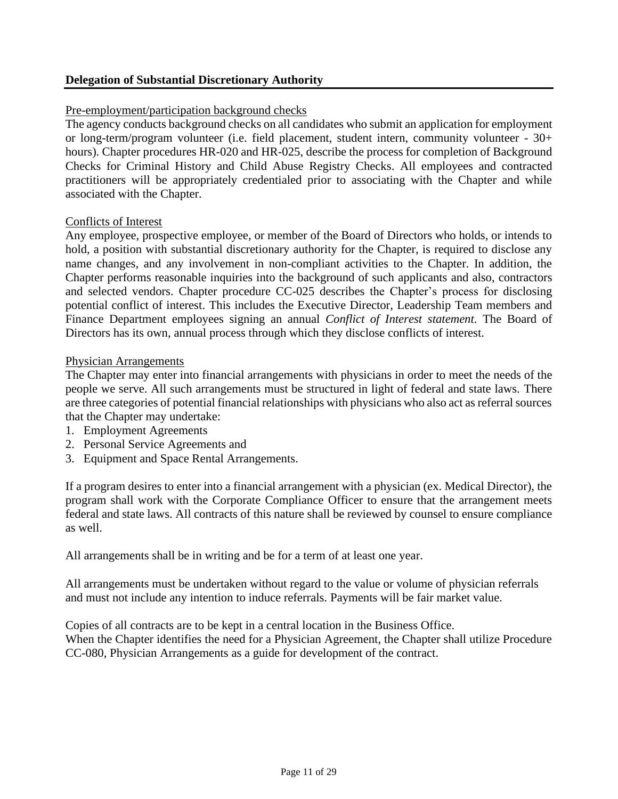#### **Delegation of Substantial Discretionary Authority**

#### Pre-employment/participation background checks

The agency conducts background checks on all candidates who submit an application for employment or long-term/program volunteer (i.e. field placement, student intern, community volunteer - 30+ hours). Chapter procedures HR-020 and HR-025, describe the process for completion of Background Checks for Criminal History and Child Abuse Registry Checks. All employees and contracted practitioners will be appropriately credentialed prior to associating with the Chapter and while associated with the Chapter.

#### Conflicts of Interest

Any employee, prospective employee, or member of the Board of Directors who holds, or intends to hold, a position with substantial discretionary authority for the Chapter, is required to disclose any name changes, and any involvement in non-compliant activities to the Chapter. In addition, the Chapter performs reasonable inquiries into the background of such applicants and also, contractors and selected vendors. Chapter procedure CC-025 describes the Chapter's process for disclosing potential conflict of interest. This includes the Executive Director, Leadership Team members and Finance Department employees signing an annual *Conflict of Interest statement*. The Board of Directors has its own, annual process through which they disclose conflicts of interest.

#### Physician Arrangements

The Chapter may enter into financial arrangements with physicians in order to meet the needs of the people we serve. All such arrangements must be structured in light of federal and state laws. There are three categories of potential financial relationships with physicians who also act as referral sources that the Chapter may undertake:

- 1. Employment Agreements
- 2. Personal Service Agreements and
- 3. Equipment and Space Rental Arrangements.

If a program desires to enter into a financial arrangement with a physician (ex. Medical Director), the program shall work with the Corporate Compliance Officer to ensure that the arrangement meets federal and state laws. All contracts of this nature shall be reviewed by counsel to ensure compliance as well.

All arrangements shall be in writing and be for a term of at least one year.

All arrangements must be undertaken without regard to the value or volume of physician referrals and must not include any intention to induce referrals. Payments will be fair market value.

Copies of all contracts are to be kept in a central location in the Business Office. When the Chapter identifies the need for a Physician Agreement, the Chapter shall utilize Procedure CC-080, Physician Arrangements as a guide for development of the contract.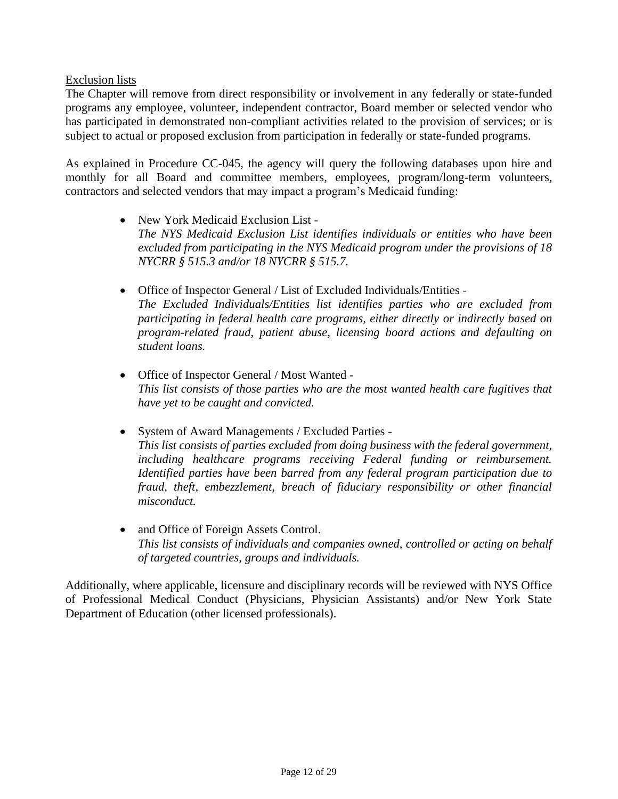Exclusion lists

The Chapter will remove from direct responsibility or involvement in any federally or state-funded programs any employee, volunteer, independent contractor, Board member or selected vendor who has participated in demonstrated non-compliant activities related to the provision of services; or is subject to actual or proposed exclusion from participation in federally or state-funded programs.

As explained in Procedure CC-045, the agency will query the following databases upon hire and monthly for all Board and committee members, employees, program/long-term volunteers, contractors and selected vendors that may impact a program's Medicaid funding:

- New York Medicaid Exclusion List -*The NYS Medicaid Exclusion List identifies individuals or entities who have been excluded from participating in the NYS Medicaid program under the provisions of 18 NYCRR § 515.3 and/or 18 NYCRR § 515.7.*
- Office of Inspector General / List of Excluded Individuals/Entities -*The Excluded Individuals/Entities list identifies parties who are excluded from participating in federal health care programs, either directly or indirectly based on program-related fraud, patient abuse, licensing board actions and defaulting on student loans.*
- Office of Inspector General / Most Wanted -*This list consists of those parties who are the most wanted health care fugitives that have yet to be caught and convicted.*
- System of Award Managements / Excluded Parties *This list consists of parties excluded from doing business with the federal government, including healthcare programs receiving Federal funding or reimbursement. Identified parties have been barred from any federal program participation due to fraud, theft, embezzlement, breach of fiduciary responsibility or other financial misconduct.*
- and Office of Foreign Assets Control. *This list consists of individuals and companies owned, controlled or acting on behalf of targeted countries, groups and individuals.*

Additionally, where applicable, licensure and disciplinary records will be reviewed with NYS Office of Professional Medical Conduct (Physicians, Physician Assistants) and/or New York State Department of Education (other licensed professionals).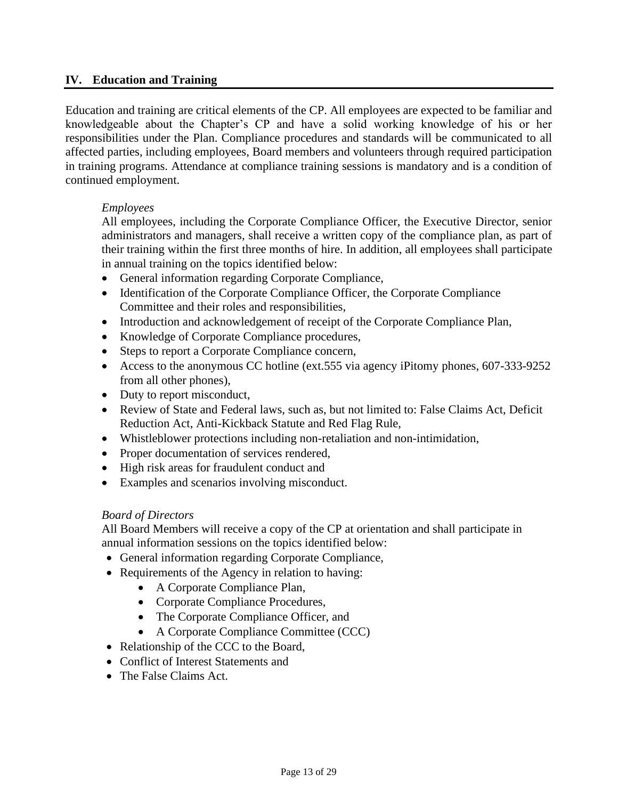#### **IV. Education and Training**

Education and training are critical elements of the CP. All employees are expected to be familiar and knowledgeable about the Chapter's CP and have a solid working knowledge of his or her responsibilities under the Plan. Compliance procedures and standards will be communicated to all affected parties, including employees, Board members and volunteers through required participation in training programs. Attendance at compliance training sessions is mandatory and is a condition of continued employment.

#### *Employees*

All employees, including the Corporate Compliance Officer, the Executive Director, senior administrators and managers, shall receive a written copy of the compliance plan, as part of their training within the first three months of hire. In addition, all employees shall participate in annual training on the topics identified below:

- General information regarding Corporate Compliance,
- Identification of the Corporate Compliance Officer, the Corporate Compliance Committee and their roles and responsibilities,
- Introduction and acknowledgement of receipt of the Corporate Compliance Plan,
- Knowledge of Corporate Compliance procedures,
- Steps to report a Corporate Compliance concern,
- Access to the anonymous CC hotline (ext.555 via agency iPitomy phones, 607-333-9252) from all other phones),
- Duty to report misconduct,
- Review of State and Federal laws, such as, but not limited to: False Claims Act, Deficit Reduction Act, Anti-Kickback Statute and Red Flag Rule,
- Whistleblower protections including non-retaliation and non-intimidation,
- Proper documentation of services rendered,
- High risk areas for fraudulent conduct and
- Examples and scenarios involving misconduct.

#### *Board of Directors*

All Board Members will receive a copy of the CP at orientation and shall participate in annual information sessions on the topics identified below:

- General information regarding Corporate Compliance,
- Requirements of the Agency in relation to having:
	- A Corporate Compliance Plan,
	- Corporate Compliance Procedures,
	- The Corporate Compliance Officer, and
	- A Corporate Compliance Committee (CCC)
- Relationship of the CCC to the Board,
- Conflict of Interest Statements and
- The False Claims Act.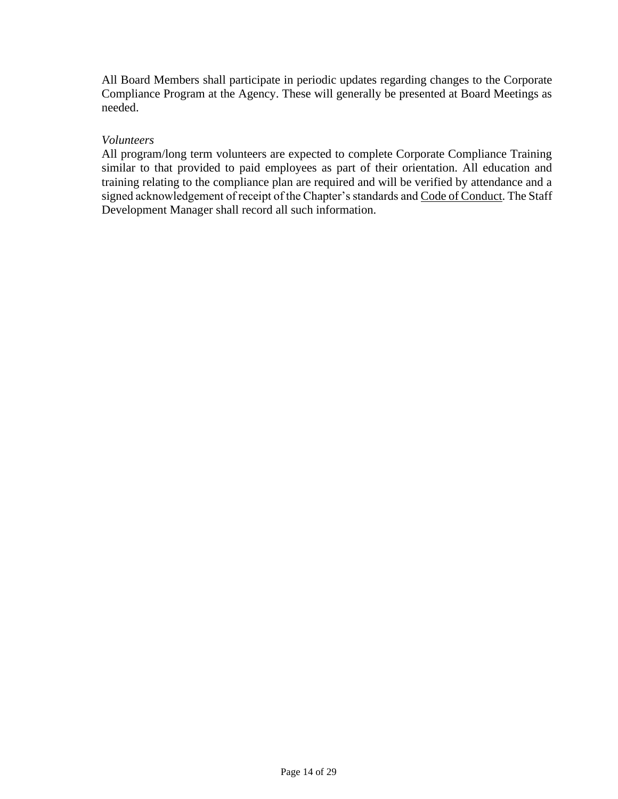All Board Members shall participate in periodic updates regarding changes to the Corporate Compliance Program at the Agency. These will generally be presented at Board Meetings as needed.

#### *Volunteers*

All program/long term volunteers are expected to complete Corporate Compliance Training similar to that provided to paid employees as part of their orientation. All education and training relating to the compliance plan are required and will be verified by attendance and a signed acknowledgement of receipt of the Chapter's standards and Code of Conduct. The Staff Development Manager shall record all such information.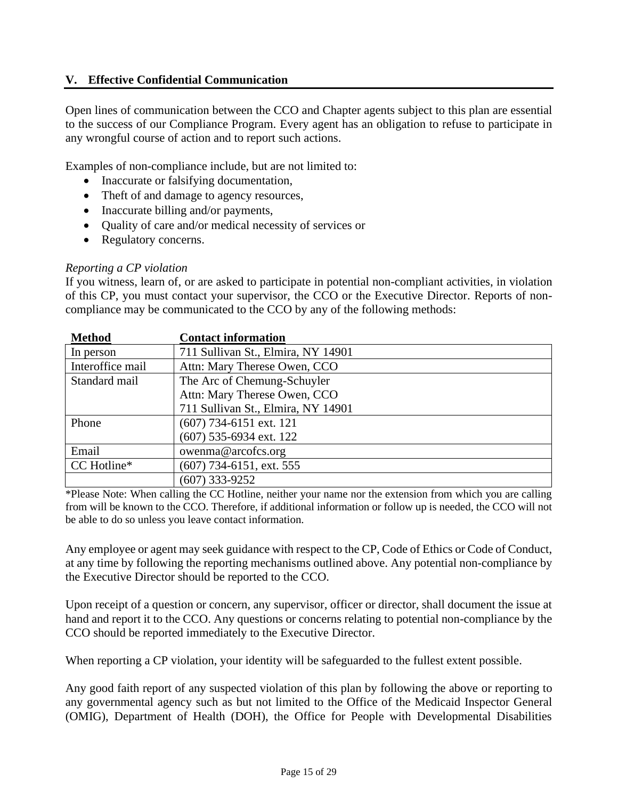## **V. Effective Confidential Communication**

Open lines of communication between the CCO and Chapter agents subject to this plan are essential to the success of our Compliance Program. Every agent has an obligation to refuse to participate in any wrongful course of action and to report such actions.

Examples of non-compliance include, but are not limited to:

- Inaccurate or falsifying documentation,
- Theft of and damage to agency resources,
- Inaccurate billing and/or payments,
- Quality of care and/or medical necessity of services or
- Regulatory concerns.

#### *Reporting a CP violation*

If you witness, learn of, or are asked to participate in potential non-compliant activities, in violation of this CP, you must contact your supervisor, the CCO or the Executive Director. Reports of noncompliance may be communicated to the CCO by any of the following methods:

| <b>Method</b>    | <b>Contact information</b>         |
|------------------|------------------------------------|
| In person        | 711 Sullivan St., Elmira, NY 14901 |
| Interoffice mail | Attn: Mary Therese Owen, CCO       |
| Standard mail    | The Arc of Chemung-Schuyler        |
|                  | Attn: Mary Therese Owen, CCO       |
|                  | 711 Sullivan St., Elmira, NY 14901 |
| Phone            | $(607)$ 734-6151 ext. 121          |
|                  | $(607)$ 535-6934 ext. 122          |
| Email            | owenma@arcofcs.org                 |
| CC Hotline*      | $(607)$ 734-6151, ext. 555         |
|                  | $(607)$ 333-9252                   |

\*Please Note: When calling the CC Hotline, neither your name nor the extension from which you are calling from will be known to the CCO. Therefore, if additional information or follow up is needed, the CCO will not be able to do so unless you leave contact information.

Any employee or agent may seek guidance with respect to the CP, Code of Ethics or Code of Conduct, at any time by following the reporting mechanisms outlined above. Any potential non-compliance by the Executive Director should be reported to the CCO.

Upon receipt of a question or concern, any supervisor, officer or director, shall document the issue at hand and report it to the CCO. Any questions or concerns relating to potential non-compliance by the CCO should be reported immediately to the Executive Director.

When reporting a CP violation, your identity will be safeguarded to the fullest extent possible.

Any good faith report of any suspected violation of this plan by following the above or reporting to any governmental agency such as but not limited to the Office of the Medicaid Inspector General (OMIG), Department of Health (DOH), the Office for People with Developmental Disabilities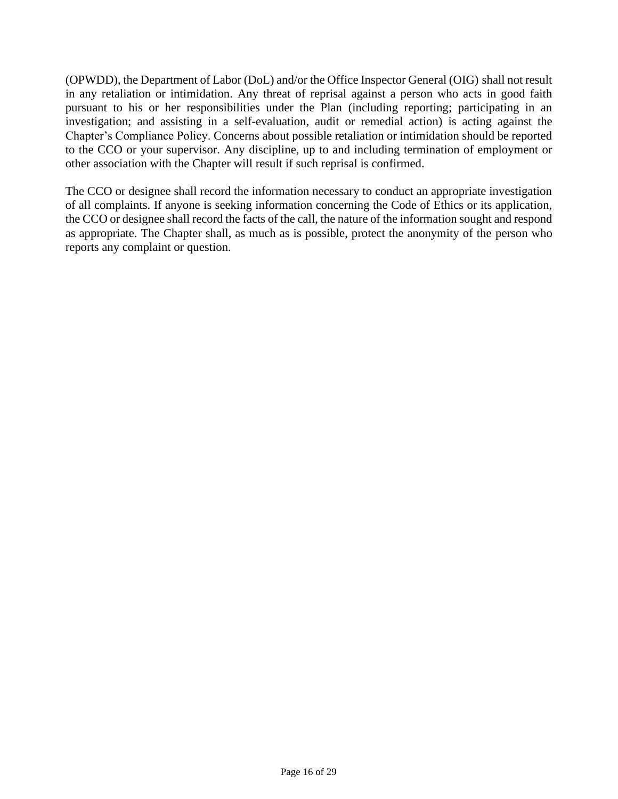(OPWDD), the Department of Labor (DoL) and/or the Office Inspector General (OIG) shall not result in any retaliation or intimidation. Any threat of reprisal against a person who acts in good faith pursuant to his or her responsibilities under the Plan (including reporting; participating in an investigation; and assisting in a self-evaluation, audit or remedial action) is acting against the Chapter's Compliance Policy. Concerns about possible retaliation or intimidation should be reported to the CCO or your supervisor. Any discipline, up to and including termination of employment or other association with the Chapter will result if such reprisal is confirmed.

The CCO or designee shall record the information necessary to conduct an appropriate investigation of all complaints. If anyone is seeking information concerning the Code of Ethics or its application, the CCO or designee shall record the facts of the call, the nature of the information sought and respond as appropriate. The Chapter shall, as much as is possible, protect the anonymity of the person who reports any complaint or question.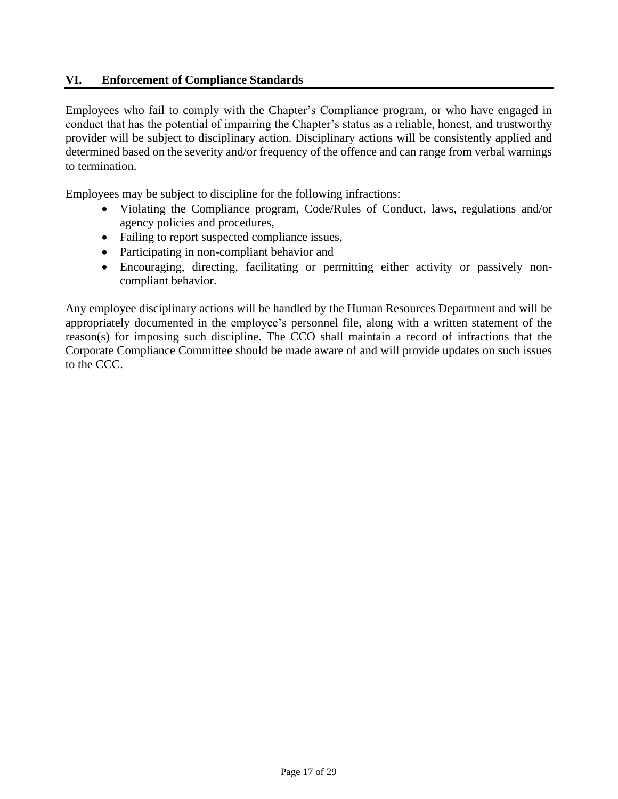## **VI. Enforcement of Compliance Standards**

Employees who fail to comply with the Chapter's Compliance program, or who have engaged in conduct that has the potential of impairing the Chapter's status as a reliable, honest, and trustworthy provider will be subject to disciplinary action. Disciplinary actions will be consistently applied and determined based on the severity and/or frequency of the offence and can range from verbal warnings to termination.

Employees may be subject to discipline for the following infractions:

- Violating the Compliance program, Code/Rules of Conduct, laws, regulations and/or agency policies and procedures,
- Failing to report suspected compliance issues,
- Participating in non-compliant behavior and
- Encouraging, directing, facilitating or permitting either activity or passively noncompliant behavior.

Any employee disciplinary actions will be handled by the Human Resources Department and will be appropriately documented in the employee's personnel file, along with a written statement of the reason(s) for imposing such discipline. The CCO shall maintain a record of infractions that the Corporate Compliance Committee should be made aware of and will provide updates on such issues to the CCC.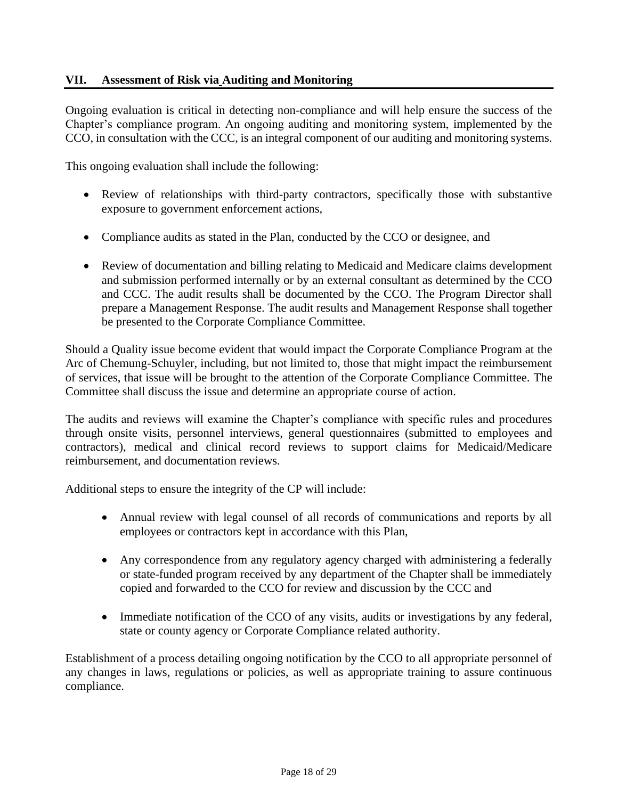## **VII. Assessment of Risk via Auditing and Monitoring**

Ongoing evaluation is critical in detecting non-compliance and will help ensure the success of the Chapter's compliance program. An ongoing auditing and monitoring system, implemented by the CCO, in consultation with the CCC, is an integral component of our auditing and monitoring systems.

This ongoing evaluation shall include the following:

- Review of relationships with third-party contractors, specifically those with substantive exposure to government enforcement actions,
- Compliance audits as stated in the Plan, conducted by the CCO or designee, and
- Review of documentation and billing relating to Medicaid and Medicare claims development and submission performed internally or by an external consultant as determined by the CCO and CCC. The audit results shall be documented by the CCO. The Program Director shall prepare a Management Response. The audit results and Management Response shall together be presented to the Corporate Compliance Committee.

Should a Quality issue become evident that would impact the Corporate Compliance Program at the Arc of Chemung-Schuyler, including, but not limited to, those that might impact the reimbursement of services, that issue will be brought to the attention of the Corporate Compliance Committee. The Committee shall discuss the issue and determine an appropriate course of action.

The audits and reviews will examine the Chapter's compliance with specific rules and procedures through onsite visits, personnel interviews, general questionnaires (submitted to employees and contractors), medical and clinical record reviews to support claims for Medicaid/Medicare reimbursement, and documentation reviews.

Additional steps to ensure the integrity of the CP will include:

- Annual review with legal counsel of all records of communications and reports by all employees or contractors kept in accordance with this Plan,
- Any correspondence from any regulatory agency charged with administering a federally or state-funded program received by any department of the Chapter shall be immediately copied and forwarded to the CCO for review and discussion by the CCC and
- Immediate notification of the CCO of any visits, audits or investigations by any federal, state or county agency or Corporate Compliance related authority.

Establishment of a process detailing ongoing notification by the CCO to all appropriate personnel of any changes in laws, regulations or policies, as well as appropriate training to assure continuous compliance.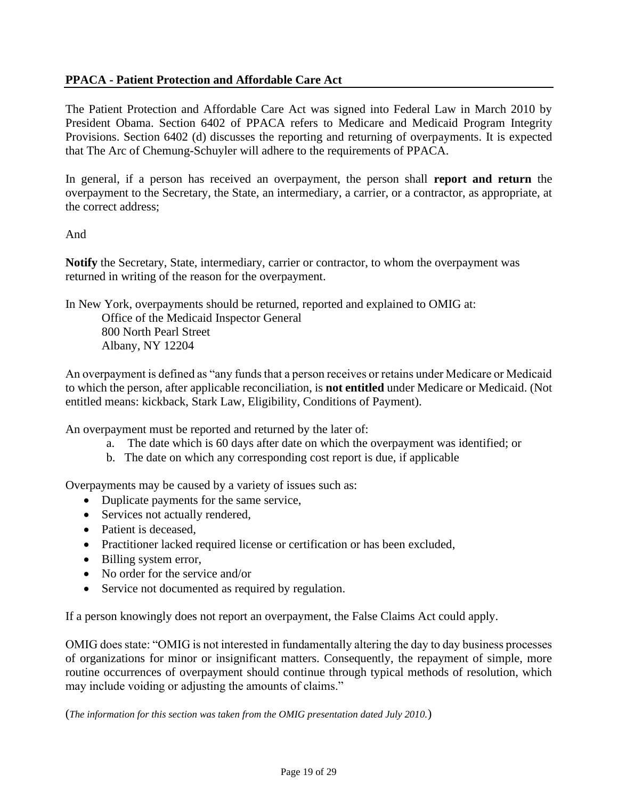## **PPACA - Patient Protection and Affordable Care Act**

The Patient Protection and Affordable Care Act was signed into Federal Law in March 2010 by President Obama. Section 6402 of PPACA refers to Medicare and Medicaid Program Integrity Provisions. Section 6402 (d) discusses the reporting and returning of overpayments. It is expected that The Arc of Chemung-Schuyler will adhere to the requirements of PPACA.

In general, if a person has received an overpayment, the person shall **report and return** the overpayment to the Secretary, the State, an intermediary, a carrier, or a contractor, as appropriate, at the correct address;

#### And

**Notify** the Secretary, State, intermediary, carrier or contractor, to whom the overpayment was returned in writing of the reason for the overpayment.

In New York, overpayments should be returned, reported and explained to OMIG at:

Office of the Medicaid Inspector General 800 North Pearl Street Albany, NY 12204

An overpayment is defined as "any funds that a person receives or retains under Medicare or Medicaid to which the person, after applicable reconciliation, is **not entitled** under Medicare or Medicaid. (Not entitled means: kickback, Stark Law, Eligibility, Conditions of Payment).

An overpayment must be reported and returned by the later of:

- a. The date which is 60 days after date on which the overpayment was identified; or
- b. The date on which any corresponding cost report is due, if applicable

Overpayments may be caused by a variety of issues such as:

- Duplicate payments for the same service,
- Services not actually rendered,
- Patient is deceased.
- Practitioner lacked required license or certification or has been excluded,
- Billing system error,
- No order for the service and/or
- Service not documented as required by regulation.

If a person knowingly does not report an overpayment, the False Claims Act could apply.

OMIG does state: "OMIG is not interested in fundamentally altering the day to day business processes of organizations for minor or insignificant matters. Consequently, the repayment of simple, more routine occurrences of overpayment should continue through typical methods of resolution, which may include voiding or adjusting the amounts of claims."

(*The information for this section was taken from the OMIG presentation dated July 2010.*)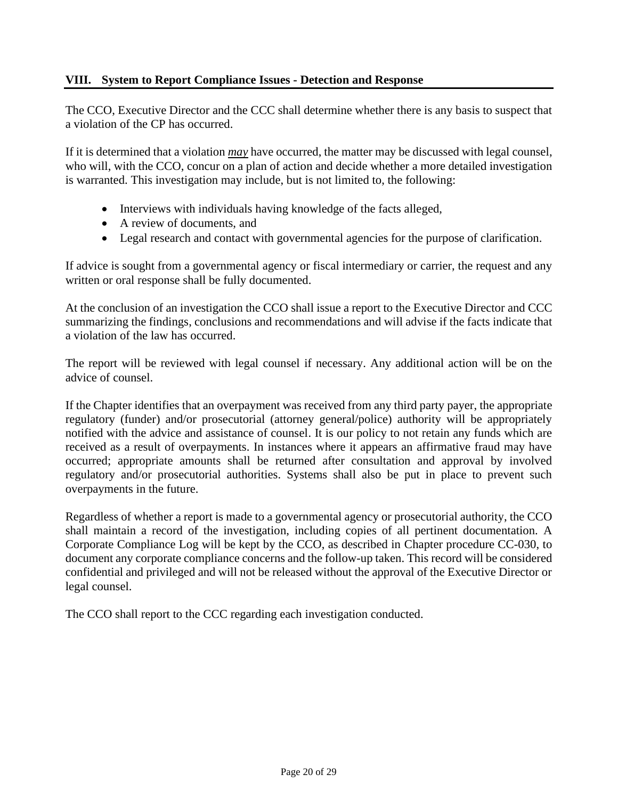## **VIII. System to Report Compliance Issues - Detection and Response**

The CCO, Executive Director and the CCC shall determine whether there is any basis to suspect that a violation of the CP has occurred.

If it is determined that a violation *may* have occurred, the matter may be discussed with legal counsel, who will, with the CCO, concur on a plan of action and decide whether a more detailed investigation is warranted. This investigation may include, but is not limited to, the following:

- Interviews with individuals having knowledge of the facts alleged,
- A review of documents, and
- Legal research and contact with governmental agencies for the purpose of clarification.

If advice is sought from a governmental agency or fiscal intermediary or carrier, the request and any written or oral response shall be fully documented.

At the conclusion of an investigation the CCO shall issue a report to the Executive Director and CCC summarizing the findings, conclusions and recommendations and will advise if the facts indicate that a violation of the law has occurred.

The report will be reviewed with legal counsel if necessary. Any additional action will be on the advice of counsel.

If the Chapter identifies that an overpayment was received from any third party payer, the appropriate regulatory (funder) and/or prosecutorial (attorney general/police) authority will be appropriately notified with the advice and assistance of counsel. It is our policy to not retain any funds which are received as a result of overpayments. In instances where it appears an affirmative fraud may have occurred; appropriate amounts shall be returned after consultation and approval by involved regulatory and/or prosecutorial authorities. Systems shall also be put in place to prevent such overpayments in the future.

Regardless of whether a report is made to a governmental agency or prosecutorial authority, the CCO shall maintain a record of the investigation, including copies of all pertinent documentation. A Corporate Compliance Log will be kept by the CCO, as described in Chapter procedure CC-030, to document any corporate compliance concerns and the follow-up taken. This record will be considered confidential and privileged and will not be released without the approval of the Executive Director or legal counsel.

The CCO shall report to the CCC regarding each investigation conducted.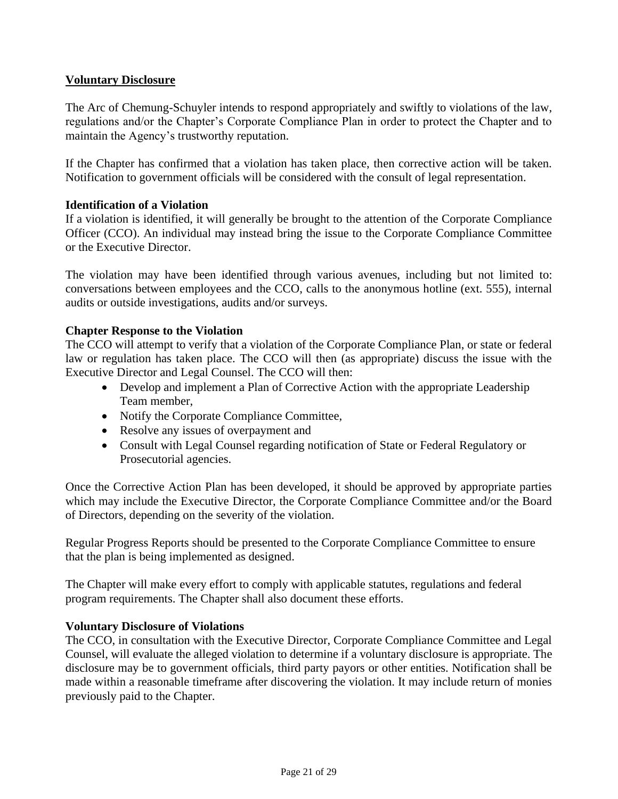## **Voluntary Disclosure**

The Arc of Chemung-Schuyler intends to respond appropriately and swiftly to violations of the law, regulations and/or the Chapter's Corporate Compliance Plan in order to protect the Chapter and to maintain the Agency's trustworthy reputation.

If the Chapter has confirmed that a violation has taken place, then corrective action will be taken. Notification to government officials will be considered with the consult of legal representation.

#### **Identification of a Violation**

If a violation is identified, it will generally be brought to the attention of the Corporate Compliance Officer (CCO). An individual may instead bring the issue to the Corporate Compliance Committee or the Executive Director.

The violation may have been identified through various avenues, including but not limited to: conversations between employees and the CCO, calls to the anonymous hotline (ext. 555), internal audits or outside investigations, audits and/or surveys.

#### **Chapter Response to the Violation**

The CCO will attempt to verify that a violation of the Corporate Compliance Plan, or state or federal law or regulation has taken place. The CCO will then (as appropriate) discuss the issue with the Executive Director and Legal Counsel. The CCO will then:

- Develop and implement a Plan of Corrective Action with the appropriate Leadership Team member,
- Notify the Corporate Compliance Committee,
- Resolve any issues of overpayment and
- Consult with Legal Counsel regarding notification of State or Federal Regulatory or Prosecutorial agencies.

Once the Corrective Action Plan has been developed, it should be approved by appropriate parties which may include the Executive Director, the Corporate Compliance Committee and/or the Board of Directors, depending on the severity of the violation.

Regular Progress Reports should be presented to the Corporate Compliance Committee to ensure that the plan is being implemented as designed.

The Chapter will make every effort to comply with applicable statutes, regulations and federal program requirements. The Chapter shall also document these efforts.

#### **Voluntary Disclosure of Violations**

The CCO, in consultation with the Executive Director, Corporate Compliance Committee and Legal Counsel, will evaluate the alleged violation to determine if a voluntary disclosure is appropriate. The disclosure may be to government officials, third party payors or other entities. Notification shall be made within a reasonable timeframe after discovering the violation. It may include return of monies previously paid to the Chapter.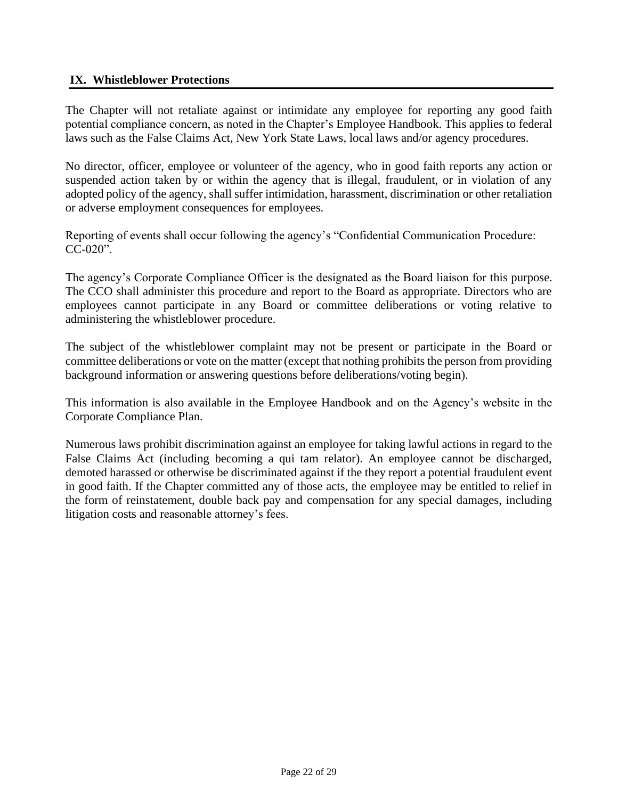## **IX. Whistleblower Protections**

The Chapter will not retaliate against or intimidate any employee for reporting any good faith potential compliance concern, as noted in the Chapter's Employee Handbook. This applies to federal laws such as the False Claims Act, New York State Laws, local laws and/or agency procedures.

No director, officer, employee or volunteer of the agency, who in good faith reports any action or suspended action taken by or within the agency that is illegal, fraudulent, or in violation of any adopted policy of the agency, shall suffer intimidation, harassment, discrimination or other retaliation or adverse employment consequences for employees.

Reporting of events shall occur following the agency's "Confidential Communication Procedure: CC-020".

The agency's Corporate Compliance Officer is the designated as the Board liaison for this purpose. The CCO shall administer this procedure and report to the Board as appropriate. Directors who are employees cannot participate in any Board or committee deliberations or voting relative to administering the whistleblower procedure.

The subject of the whistleblower complaint may not be present or participate in the Board or committee deliberations or vote on the matter (except that nothing prohibits the person from providing background information or answering questions before deliberations/voting begin).

This information is also available in the Employee Handbook and on the Agency's website in the Corporate Compliance Plan.

Numerous laws prohibit discrimination against an employee for taking lawful actions in regard to the False Claims Act (including becoming a qui tam relator). An employee cannot be discharged, demoted harassed or otherwise be discriminated against if the they report a potential fraudulent event in good faith. If the Chapter committed any of those acts, the employee may be entitled to relief in the form of reinstatement, double back pay and compensation for any special damages, including litigation costs and reasonable attorney's fees.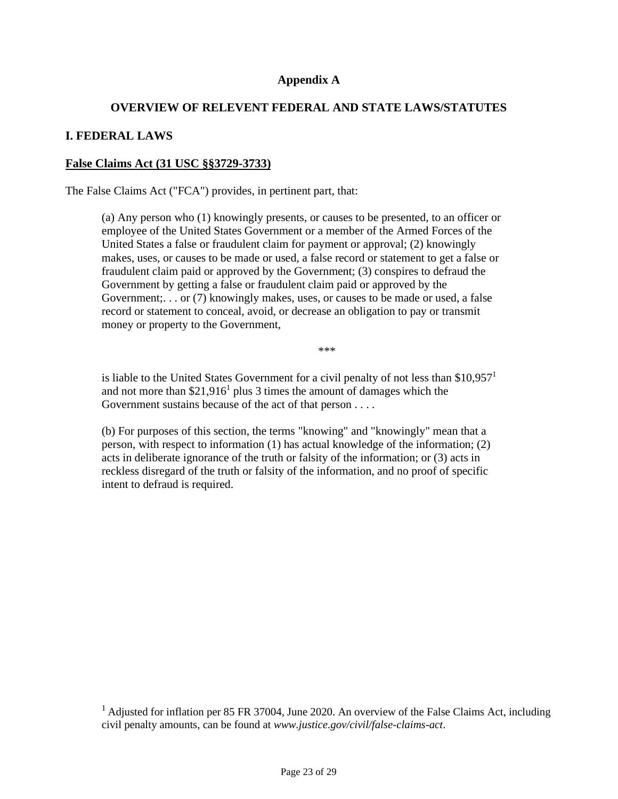#### **Appendix A**

## **OVERVIEW OF RELEVENT FEDERAL AND STATE LAWS/STATUTES**

## **I. FEDERAL LAWS**

#### **False Claims Act (31 USC §§3729-3733)**

The False Claims Act ("FCA") provides, in pertinent part, that:

(a) Any person who (1) knowingly presents, or causes to be presented, to an officer or employee of the United States Government or a member of the Armed Forces of the United States a false or fraudulent claim for payment or approval; (2) knowingly makes, uses, or causes to be made or used, a false record or statement to get a false or fraudulent claim paid or approved by the Government; (3) conspires to defraud the Government by getting a false or fraudulent claim paid or approved by the Government;. . . or (7) knowingly makes, uses, or causes to be made or used, a false record or statement to conceal, avoid, or decrease an obligation to pay or transmit money or property to the Government,

\*\*\*

is liable to the United States Government for a civil penalty of not less than  $$10,957<sup>1</sup>$ and not more than  $$21,916<sup>1</sup>$  plus 3 times the amount of damages which the Government sustains because of the act of that person . . . .

(b) For purposes of this section, the terms "knowing" and "knowingly" mean that a person, with respect to information (1) has actual knowledge of the information; (2) acts in deliberate ignorance of the truth or falsity of the information; or (3) acts in reckless disregard of the truth or falsity of the information, and no proof of specific intent to defraud is required.

<sup>&</sup>lt;sup>1</sup> Adjusted for inflation per 85 FR 37004, June 2020. An overview of the False Claims Act, including civil penalty amounts, can be found at *www.justice.gov/civil/false-claims-act*.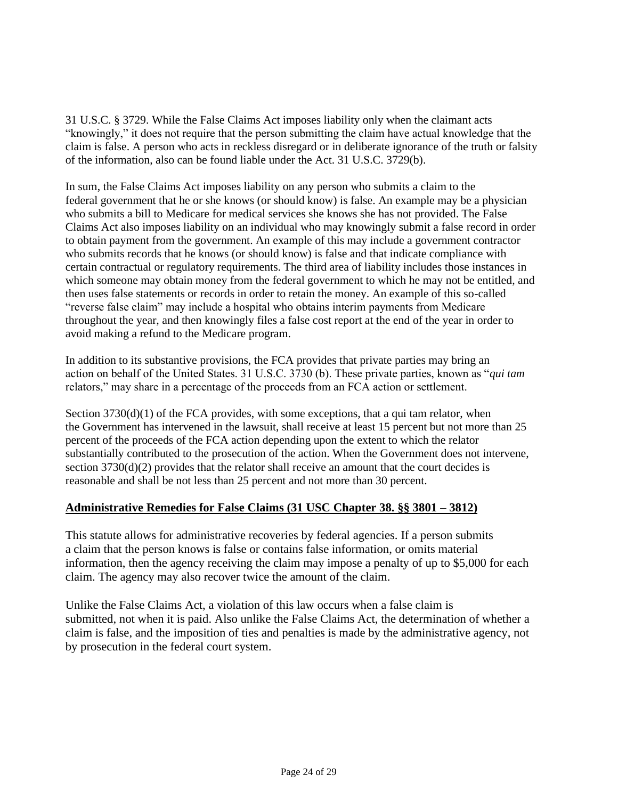31 U.S.C. § 3729. While the False Claims Act imposes liability only when the claimant acts "knowingly," it does not require that the person submitting the claim have actual knowledge that the claim is false. A person who acts in reckless disregard or in deliberate ignorance of the truth or falsity of the information, also can be found liable under the Act. 31 U.S.C. 3729(b).

In sum, the False Claims Act imposes liability on any person who submits a claim to the federal government that he or she knows (or should know) is false. An example may be a physician who submits a bill to Medicare for medical services she knows she has not provided. The False Claims Act also imposes liability on an individual who may knowingly submit a false record in order to obtain payment from the government. An example of this may include a government contractor who submits records that he knows (or should know) is false and that indicate compliance with certain contractual or regulatory requirements. The third area of liability includes those instances in which someone may obtain money from the federal government to which he may not be entitled, and then uses false statements or records in order to retain the money. An example of this so-called "reverse false claim" may include a hospital who obtains interim payments from Medicare throughout the year, and then knowingly files a false cost report at the end of the year in order to avoid making a refund to the Medicare program.

In addition to its substantive provisions, the FCA provides that private parties may bring an action on behalf of the United States. 31 U.S.C. 3730 (b). These private parties, known as "*qui tam* relators," may share in a percentage of the proceeds from an FCA action or settlement.

Section  $3730(d)(1)$  of the FCA provides, with some exceptions, that a qui tam relator, when the Government has intervened in the lawsuit, shall receive at least 15 percent but not more than 25 percent of the proceeds of the FCA action depending upon the extent to which the relator substantially contributed to the prosecution of the action. When the Government does not intervene, section 3730(d)(2) provides that the relator shall receive an amount that the court decides is reasonable and shall be not less than 25 percent and not more than 30 percent.

## **Administrative Remedies for False Claims (31 USC Chapter 38. §§ 3801 – 3812)**

This statute allows for administrative recoveries by federal agencies. If a person submits a claim that the person knows is false or contains false information, or omits material information, then the agency receiving the claim may impose a penalty of up to \$5,000 for each claim. The agency may also recover twice the amount of the claim.

Unlike the False Claims Act, a violation of this law occurs when a false claim is submitted, not when it is paid. Also unlike the False Claims Act, the determination of whether a claim is false, and the imposition of ties and penalties is made by the administrative agency, not by prosecution in the federal court system.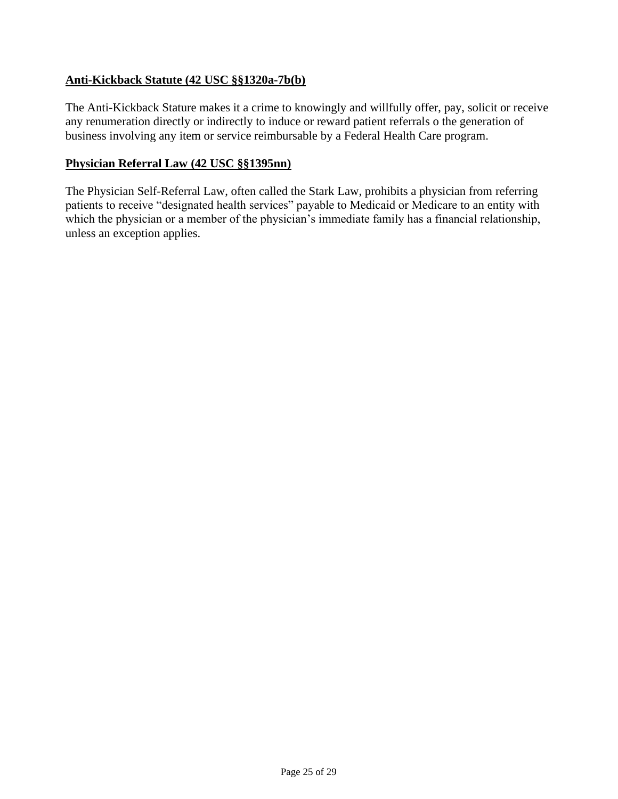## **Anti-Kickback Statute (42 USC §§1320a-7b(b)**

The Anti-Kickback Stature makes it a crime to knowingly and willfully offer, pay, solicit or receive any renumeration directly or indirectly to induce or reward patient referrals o the generation of business involving any item or service reimbursable by a Federal Health Care program.

## **Physician Referral Law (42 USC §§1395nn)**

The Physician Self-Referral Law, often called the Stark Law, prohibits a physician from referring patients to receive "designated health services" payable to Medicaid or Medicare to an entity with which the physician or a member of the physician's immediate family has a financial relationship, unless an exception applies.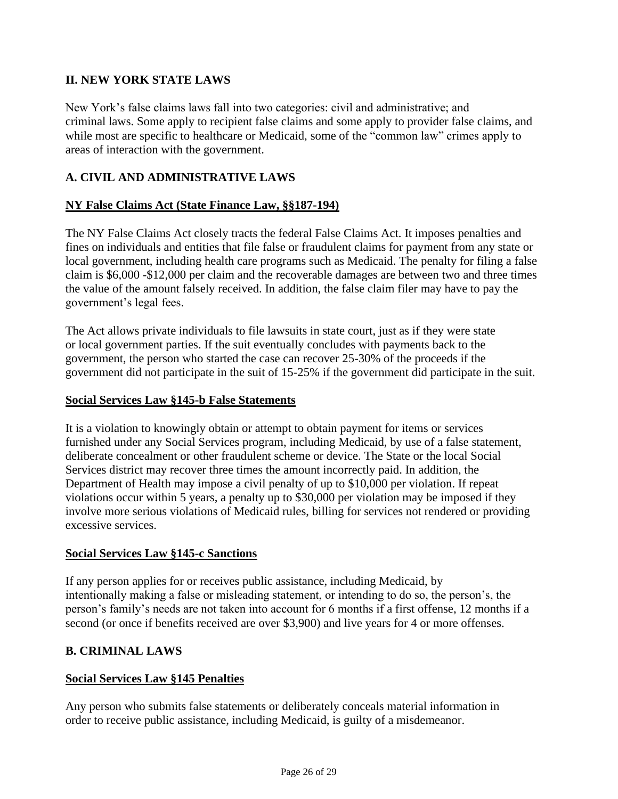## **II. NEW YORK STATE LAWS**

New York's false claims laws fall into two categories: civil and administrative; and criminal laws. Some apply to recipient false claims and some apply to provider false claims, and while most are specific to healthcare or Medicaid, some of the "common law" crimes apply to areas of interaction with the government.

## **A. CIVIL AND ADMINISTRATIVE LAWS**

## **NY False Claims Act (State Finance Law, §§187-194)**

The NY False Claims Act closely tracts the federal False Claims Act. It imposes penalties and fines on individuals and entities that file false or fraudulent claims for payment from any state or local government, including health care programs such as Medicaid. The penalty for filing a false claim is \$6,000 -\$12,000 per claim and the recoverable damages are between two and three times the value of the amount falsely received. In addition, the false claim filer may have to pay the government's legal fees.

The Act allows private individuals to file lawsuits in state court, just as if they were state or local government parties. If the suit eventually concludes with payments back to the government, the person who started the case can recover 25-30% of the proceeds if the government did not participate in the suit of 15-25% if the government did participate in the suit.

#### **Social Services Law §145-b False Statements**

It is a violation to knowingly obtain or attempt to obtain payment for items or services furnished under any Social Services program, including Medicaid, by use of a false statement, deliberate concealment or other fraudulent scheme or device. The State or the local Social Services district may recover three times the amount incorrectly paid. In addition, the Department of Health may impose a civil penalty of up to \$10,000 per violation. If repeat violations occur within 5 years, a penalty up to \$30,000 per violation may be imposed if they involve more serious violations of Medicaid rules, billing for services not rendered or providing excessive services.

#### **Social Services Law §145-c Sanctions**

If any person applies for or receives public assistance, including Medicaid, by intentionally making a false or misleading statement, or intending to do so, the person's, the person's family's needs are not taken into account for 6 months if a first offense, 12 months if a second (or once if benefits received are over \$3,900) and live years for 4 or more offenses.

#### **B. CRIMINAL LAWS**

#### **Social Services Law §145 Penalties**

Any person who submits false statements or deliberately conceals material information in order to receive public assistance, including Medicaid, is guilty of a misdemeanor.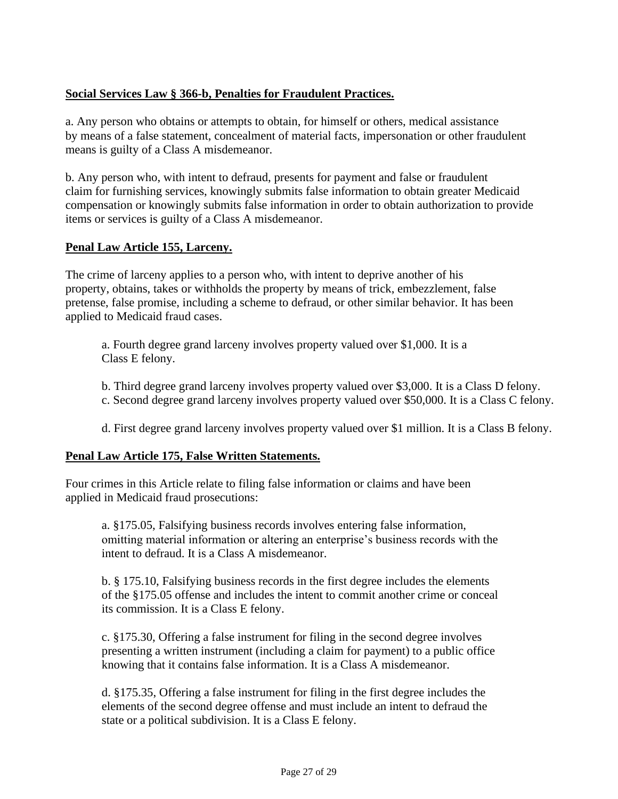## **Social Services Law § 366-b, Penalties for Fraudulent Practices.**

a. Any person who obtains or attempts to obtain, for himself or others, medical assistance by means of a false statement, concealment of material facts, impersonation or other fraudulent means is guilty of a Class A misdemeanor.

b. Any person who, with intent to defraud, presents for payment and false or fraudulent claim for furnishing services, knowingly submits false information to obtain greater Medicaid compensation or knowingly submits false information in order to obtain authorization to provide items or services is guilty of a Class A misdemeanor.

## **Penal Law Article 155, Larceny.**

The crime of larceny applies to a person who, with intent to deprive another of his property, obtains, takes or withholds the property by means of trick, embezzlement, false pretense, false promise, including a scheme to defraud, or other similar behavior. It has been applied to Medicaid fraud cases.

a. Fourth degree grand larceny involves property valued over \$1,000. It is a Class E felony.

- b. Third degree grand larceny involves property valued over \$3,000. It is a Class D felony.
- c. Second degree grand larceny involves property valued over \$50,000. It is a Class C felony.

d. First degree grand larceny involves property valued over \$1 million. It is a Class B felony.

#### **Penal Law Article 175, False Written Statements.**

Four crimes in this Article relate to filing false information or claims and have been applied in Medicaid fraud prosecutions:

a. §175.05, Falsifying business records involves entering false information, omitting material information or altering an enterprise's business records with the intent to defraud. It is a Class A misdemeanor.

b. § 175.10, Falsifying business records in the first degree includes the elements of the §175.05 offense and includes the intent to commit another crime or conceal its commission. It is a Class E felony.

c. §175.30, Offering a false instrument for filing in the second degree involves presenting a written instrument (including a claim for payment) to a public office knowing that it contains false information. It is a Class A misdemeanor.

d. §175.35, Offering a false instrument for filing in the first degree includes the elements of the second degree offense and must include an intent to defraud the state or a political subdivision. It is a Class E felony.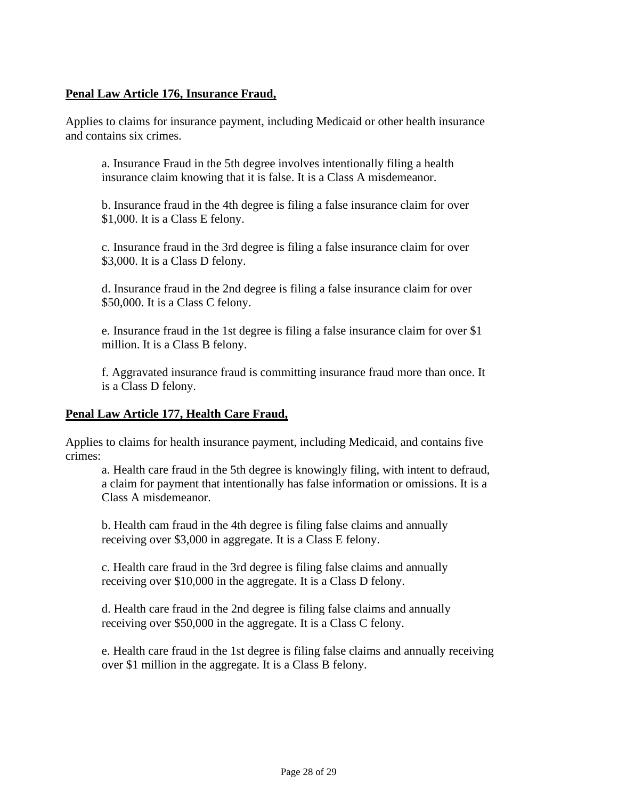## **Penal Law Article 176, Insurance Fraud,**

Applies to claims for insurance payment, including Medicaid or other health insurance and contains six crimes.

a. Insurance Fraud in the 5th degree involves intentionally filing a health insurance claim knowing that it is false. It is a Class A misdemeanor.

b. Insurance fraud in the 4th degree is filing a false insurance claim for over \$1,000. It is a Class E felony.

c. Insurance fraud in the 3rd degree is filing a false insurance claim for over \$3,000. It is a Class D felony.

d. Insurance fraud in the 2nd degree is filing a false insurance claim for over \$50,000. It is a Class C felony.

e. Insurance fraud in the 1st degree is filing a false insurance claim for over \$1 million. It is a Class B felony.

f. Aggravated insurance fraud is committing insurance fraud more than once. It is a Class D felony.

#### **Penal Law Article 177, Health Care Fraud,**

Applies to claims for health insurance payment, including Medicaid, and contains five crimes:

a. Health care fraud in the 5th degree is knowingly filing, with intent to defraud, a claim for payment that intentionally has false information or omissions. It is a Class A misdemeanor.

b. Health cam fraud in the 4th degree is filing false claims and annually receiving over \$3,000 in aggregate. It is a Class E felony.

c. Health care fraud in the 3rd degree is filing false claims and annually receiving over \$10,000 in the aggregate. It is a Class D felony.

d. Health care fraud in the 2nd degree is filing false claims and annually receiving over \$50,000 in the aggregate. It is a Class C felony.

e. Health care fraud in the 1st degree is filing false claims and annually receiving over \$1 million in the aggregate. It is a Class B felony.